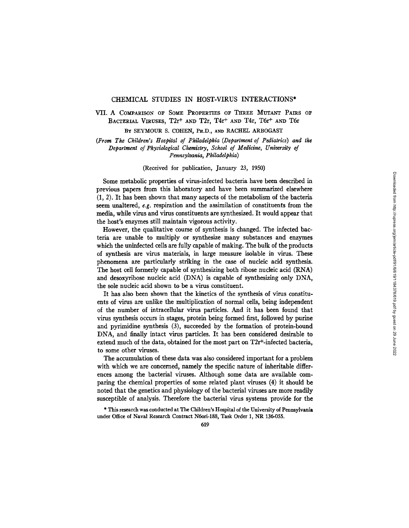## CHEMICAL STUDIES IN HOST-VIRUS INTERACTIONS\*

# VII. A COMPARISON OF SOME PROPERTIES OF THREE MUTANT PAIRS OF BACTERIAL VIRUSES, T2r<sup>+</sup> AND T2r, T4r<sup>+</sup> AND T4r, T6r<sup>+</sup> AND T6r

### BY SEYMOUR S. COHEN, PH.D., AND RACHEL ARBOGAST

# *(From The Children's Hospital of Philadelphia (Department of Pediatrics) and the Department of Physiological Chemistry, School of Medicine, University of Pennsylvania, Philadelphia)*

### (Received for publication, January 23, 1950)

Some metabolic properties of virus-infected bacteria have been described in previous papers from this laboratory and have been summarized elsewhere  $(1, 2)$ . It has been shown that many aspects of the metabolism of the bacteria seem unaltered, *e.g.* respiration and the assimilation of constituents from the media, while virus and virus constituents are synthesized. It would appear that the host's enzymes still maintain vigorous activity.

However, the qualitative course of synthesis is changed. The infected bacteria are unable to multiply or synthesize many substances and enzymes which the uninfected cells are fully capable of making. The bulk of the products of synthesis are virus materials, in large measure isolable in virus. These phenomena are particularly striking in the case of nucleic acid synthesis. The host cell formerly capable of synthesizing both ribose nucleic acid (RNA) and desoxyribose nucleic acid (DNA) is capable of synthesizing only DNA, the sole nucleic acid shown to be a virus constituent.

It has also been shown that the kinetics of the synthesis of virus constituents of virus are unlike the multiplication of normal cells, being independent of the number of intracellular virus particles. And it has been found that virus synthesis occurs in stages, protein being formed first, followed by purine and pyrimidine synthesis (3), succeeded by the formation of protein-bound DNA, and finally intact virus particles. It has been considered desirable to extend much of the data, obtained for the most part on T2r+-infected bacteria, to some other viruses.

The accumulation of these data was also considered important for a problem with which we are concerned, namely the specific nature of inheritable differences among the bacterial viruses. Although some data are available comparing the chemical properties of some related plant viruses (4) it should be noted that the genetics and physiology of the bacterial viruses are more readily susceptible of analysis. Therefore the bacterial virus systems provide for the

\* This research was conducted at The Children's Hospital of the University of Pennsylvania under Office of Naval Research Contract N6ori-188, Task Order 1, NR 136-055.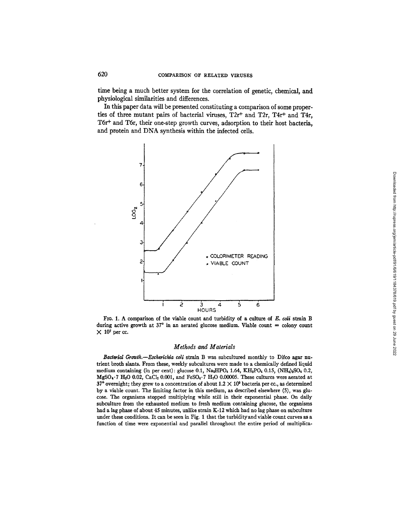time being a much better system for the correlation of genetic, chemical, and physiological similarities and differences.

In this paper data will be presented constituting a comparison of some properties of three mutant pairs of bacterial viruses,  $T2r^+$  and  $T2r$ ,  $T4r^+$  and  $T4r$ , T6r<sup>+</sup> and T6r, their one-step growth curves, adsorption to their host bacteria, and protein and DNA synthesis within the infected cells.



Fro. I. A comparison of the viable count and turbidity of a culture of *E. coli strain B*  during active growth at  $37^{\circ}$  in an aerated glucose medium. Viable count = colony count  $\times$  10<sup>7</sup> per cc.

#### *Methods and Materials*

*Bacterlal Growth.--Escherichia coli* strain B was subcultured monthly to Difco agar nutrient broth slants. From these, weekly subcuitures were made to a chemically defined liquid medium containing (in per cent): glucose 0.1, Na2HPO4 1.64, KH2PO4 0.15, (NH4)2SO4 0.2,  $MgSO_4$ -7 H<sub>2</sub>O 0.02, CaCl<sub>2</sub> 0.001, and FeSO<sub>4</sub>-7 H<sub>2</sub>O 0.00005. These cultures were aerated at 37° overnight; they grew to a concentration of about  $1.2 \times 10^9$  bacteria per cc., as determined by a viable count. The limiting factor in this medium, as described elsewhere (5), was glucose. The organisms stopped multiplying while still in their exponential phase. On daily subculture from the exhausted medium to fresh medium containing glucose, the organisms had a lag phase of about 45 minutes, unlike strain K-12 which had no lag phase on subculture under these conditions. It can be seen in Fig. 1 that the turbidityand viable count curves as a function of time were exponential and parallel throughout the entire period of multiplica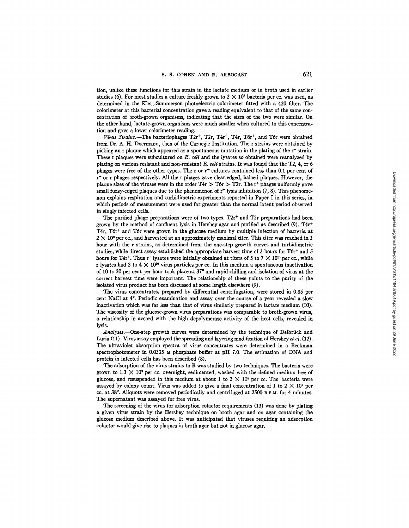tion, unlike these functions for this strain in the lactate medium or in broth used in earlier studies (6). For most studies a culture freshly grown to  $2 \times 10^8$  bacteria per cc. was used, as determined in the Klett-Summerson photoelectric colorimeter fitted with a 420 filter. The colorimeter at this bacterial concentration gave a reading equivalent to that of the same concentration of broth-grown organisms, indicating that the sizes of the two were similar. On the other hand, lactate-grown organisms were much smaller when cultured to this concentration and gave a lower colorimeter reading.

Virus Strains.-The bacteriophages T2r<sup>+</sup>, T2r, T4r<sup>+</sup>, T4r, T6r<sup>+</sup>, and T6r were obtained from Dr. A. H. Doermann, then of the Carnegie Institution. The r strains were obtained by picking an r plaque which appeared as a spontaneous mutation in the plating of the  $r^+$  strain. These r plaques were subcultured on *E. coli* and the lysates so obtained were rcanalyzed by plating on various resistant and non-resistant *E. coli* strains. It was found that the T2, 4, or 6 phages were free of the other types. The r or  $r^+$  cultures contained less than 0.1 per cent of  $r^+$  or r phages respectively. All the r phages gave clear-edged, haloed plaques. However, the plaque sizes of the viruses were in the order T4r  $>$  T6r  $>$  T2r. The r<sup>+</sup> phages uniformly gave small fuzzy-edged plaques due to the phenomenon of  $r^+$  lysis inhibition (7, 8). This phenomenon explains respiration and turbidimetric experiments reported in Paper I in this series, in which periods of measurement were used far greater than the normal latent period observed in singly infected cells.

The purified phage preparations were of two types.  $T2r<sup>+</sup>$  and T2r preparations had been grown by the method of confluent lysis in Hershey agar and purified as described (9).  $T4r^+$ T4r, T6r<sup>+</sup> and T6r were grown in the glucose medium by multiple infection of bacteria at  $2 \times 10^8$  per cc., and harvested at an approximately maximal titer. This titer was reached in 1 hour with the r strains, as determined from the one-step growth curves and turbidimetric studies, while direct assay established the appropriate harvest time of 3 hours for  $T6r<sup>+</sup>$  and 5 hours for T4r<sup>+</sup>. Thus r<sup>+</sup> lysates were initially obtained at titers of 5 to 7  $\times$  10<sup>10</sup> per cc., while r lysates had 3 to  $4 \times 10^{10}$  virus particles per cc. In this medium a spontaneous inactivation of 10 to 20 per cent per hour took place at 37 ° and rapid chilling and isolation of virus at the correct harvest time were important. The relationship of these points to the purity of the isolated virus product has been discussed at some length elsewhere (9).

The virus concentrates, prepared by differential centrifugation, were stored in 0.85 per cent NaCl at 4<sup>o</sup>. Periodic examination and assay over the course of a year revealed a slow inactivation which was far less than that of virus similarly prepared in lactate medium (10). The viscosity of the glucose-grown virus preparations was comparable to broth-grown virus, a relationship in accord with the high depolymerase activity of the host cells, revealed in lysis.

*Analyses.--One-step* growth curves were determined by the technique of Delbriick and Luria (11). Virus assay employed the spreading and layering modification of Hershey et  $al$ . (12). The ultraviolet absorption spectra of virus concentrates were determined in a Beckman spectrophotometer in 0.0335  $\text{M}$  phosphate buffer at pH 7.0. The estimation of DNA and protein in infected cells has been described (8).

The adsorption of the virus strains to B was studied by two techniques. The bacteria were grown to 1.3  $\times$  10<sup>9</sup> per cc. overnight, sedimented, washed with the defined medium free of glucose, and resuspended in this medium at about 1 to  $2 \times 10^8$  per cc. The bacteria were assayed by colony count. Virus was added to give a final concentration of 1 to  $2 \times 10^{7}$  per cc. at 38°. Aliquots were removed periodically and centrifuged at 2500 R.P.M. for 4 minutes. The supernatant was assayed for free virus.

The screening of the virus for adsorption cofactor requirements (13) was done by plating a given virus strain by the Hershey technique on broth agar and on agar containing the glucose medium described above. It was anticipated that viruses requiring an adsorption cofactor would give rise to plaques in broth agar but not in glucose agar.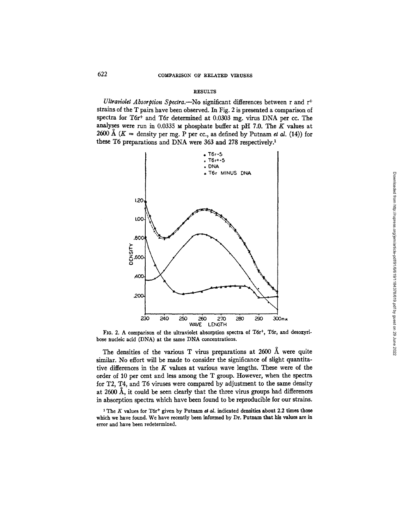#### RESULTS

*Ultraviolet Absorption Spectra*.—No significant differences between r and r<sup>+</sup> strains of the T pairs have been observed. In Fig. 2 is presented a comparison of spectra for T6r<sup>+</sup> and T6r determined at 0.0303 mg. virus DNA per cc. The analyses were run in 0.0335  $\times$  phosphate buffer at pH 7.0. The K values at 2600 Å ( $K =$  density per mg. P per cc., as defined by Putnam *et al.* (14)) for these T6 preparations and DNA were 363 and 278 respectively.<sup>1</sup>



FIG. 2. A comparison of the ultraviolet absorption spectra of T6r<sup>+</sup>, T6r, and desoxyribose nucleic acid (DNA) at the same DNA concentrations.

The densities of the various T virus preparations at 2600  $\AA$  were quite similar. No effort will be made to consider the significance of slight quantitative differences in the K values at various wave lengths. These were of the order of 10 per cent and less among the T group. However, when the spectra for T2, T4, and T6 viruses were compared by adjustment to the same density at  $2600~\text{\AA}$ , it could be seen clearly that the three virus groups had differences in absorption spectra which have been found to be reproducible for our strains.

<sup>1</sup> The K values for T6r<sup>+</sup> given by Putnam et al. indicated densities about 2.2 times those which we have found. We have recently been informed by Dr. Putnam that his values are **in**  error and have been redetermined.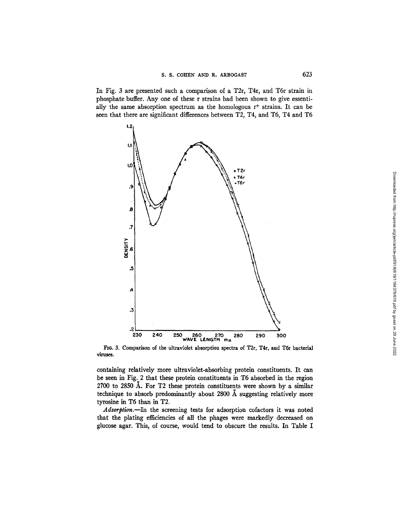In Fig. 3 are presented such a comparison of a T2r, T4r, and T6r strain in phosphate buffer. Any one of these r strains had been shown to give essentially the same absorption spectrum as the homologous  $r^+$  strains. It can be seen that there are significant differences between T2, T4, and T6, T4 and T6



FIG. 3. Comparison of the ultraviolet absorption spectra of T2r, T4r, and T6r bacterial viruses.

containing relatively more ultraviolet-absorbing protein constituents. It can be seen in Fig. 2 that these protein constituents in T6 absorbed in the region  $2700$  to  $2850$  Å. For T2 these protein constituents were shown by a similar technique to absorb predominantly about 2800  $\AA$  suggesting relatively more tyrosine in T6 than in T2.

*Adsorption.--In* the screening tests for adsorption cofactors it was noted that the plating efficiencies of all the phages were markedly decreased on glucose agar. This, of course, would tend to obscure the results. In Table I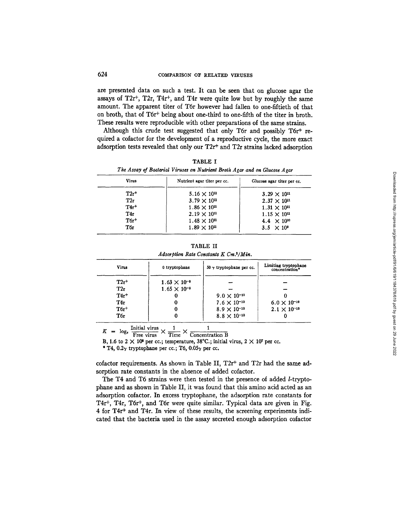### 624 COMPARISON OF RELATED VIRUSES

are presented data on such a test. It can be seen that on glucose agar the assays of  $T2r^{+}$ ,  $T2r$ ,  $T4r^{+}$ , and  $T4r$  were quite low but by roughly the same amount. The apparent titer of T6r however had fallen to one-fiftieth of that on broth, that of  $T6r<sup>+</sup>$  being about one-third to one-fifth of the titer in broth. These results were reproducible with other preparations of the same strains.

Although this crude test suggested that only T6r and possibly T6r<sup>+</sup> required a cofactor for the development of a reproductive cycle, the more exact adsorption tests revealed that only our T2r<sup>+</sup> and T2r strains lacked adsorption

| TABLE I                                                                   |
|---------------------------------------------------------------------------|
| The Assay of Bacterial Viruses on Nutrient Broth Agar and on Glucose Agar |

| Virus              | Nutrient agar titer per cc. | Glucose agar titer per cc.    |
|--------------------|-----------------------------|-------------------------------|
| $T2r^+$            | $5.16 \times 10^{11}$       | $3.29 \times 10^{11}$         |
| T2r                | $3.79 \times 10^{11}$       | $2.37 \times 10^{11}$         |
| $T4r^+$            | $1.86 \times 10^{11}$       | $1.31 \times 10^{11}$         |
| T4r                | $2.19 \times 10^{11}$       | $1.15 \times 10^{11}$         |
| $T6r$ <sup>+</sup> | $1.48 \times 10^{11}$       | 4.4 $\times$ 10 <sup>10</sup> |
| T6r                | $1.89 \times 10^{11}$       | 3.5 $\times$ 10 <sup>o</sup>  |

TABLE II *Adsorption Rate Constants K Cra)/Min.* 

| Virus              | 0 tryptophane         | $50 \gamma$ tryptophane per cc. | Limiting tryptophane<br>concentration* |
|--------------------|-----------------------|---------------------------------|----------------------------------------|
| $T2r^+$            | $1.63 \times 10^{-9}$ |                                 |                                        |
| T2r                | $1.65 \times 10^{-9}$ |                                 |                                        |
| $T4r+$             |                       | $9.0 \times 10^{-10}$           |                                        |
| T4r                |                       | $7.6 \times 10^{-10}$           | $6.0 \times 10^{-10}$                  |
| $T6r$ <sup>+</sup> |                       | $8.9 \times 10^{-10}$           | $2.1 \times 10^{-10}$                  |
| T6r                |                       | $8.8 \times 10^{-10}$           |                                        |
|                    |                       |                                 |                                        |

 $K = \log_{10}$  Initial virus  $\sqrt{1}$   $\sqrt{1}$  1

Free virus  $\hat{\ }$  Time  $\hat{\ }$  Concentration B

B, 1.6 to 2  $\times$  10<sup>8</sup> per cc.; temperature, 38°C.; initial virus, 2  $\times$  10<sup>7</sup> per cc.

\* T4,  $0.2\gamma$  tryptophane per cc.; T6,  $0.05\gamma$  per cc.

cofactor requirements. As shown in Table II,  $T2r^{+}$  and  $T2r$  had the same adsorption rate constants in the absence of added cofactor.

The T4 and T6 strains were then tested in the presence of added  $l$ -tryptophane and as shown in Table II, it was found that this amino acid acted as an adsorption cofactor. In excess tryptophane, the adsorption rate constants for T4r<sup>+</sup>, T4r, T6r<sup>+</sup>, and T6r were quite similar. Typical data are given in Fig. 4 for T4r<sup>+</sup> and T4r. In view of these results, the screening experiments indicated that the bacteria used in the assay secreted enough adsorption cofactor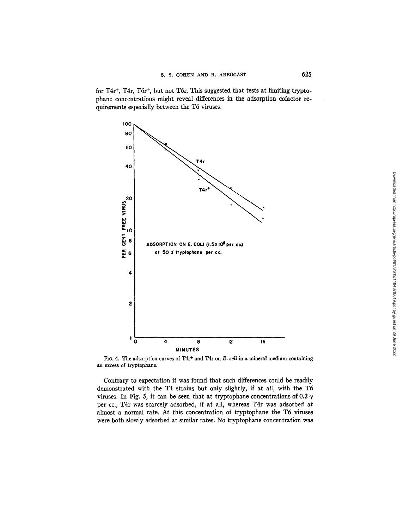for T4r<sup>+</sup>, T4r, T6r<sup>+</sup>, but not T6r. This suggested that tests at limiting tryptophane concentrations might reveal differences in the adsorption cofactor requirements especially between the T6 viruses.



Fro. 4. The adsorption curves of T4r<sup>+</sup> and T4r on *E. coli* in a mineral medium containing an excess of tryptophane.

Contrary to expectation it was found that such differences could be readily demonstrated with the T4 strains but only slightly, if at all, with the T6 viruses. In Fig. 5, it can be seen that at tryptophane concentrations of 0.2  $\gamma$ per cc., T4r was scarcely adsorbed, if at all, whereas T4r was adsorbed at almost a normal rate. At this concentration of tryptophane the T6 viruses were both slowly adsorbed at similar rates. No tryptophane concentration was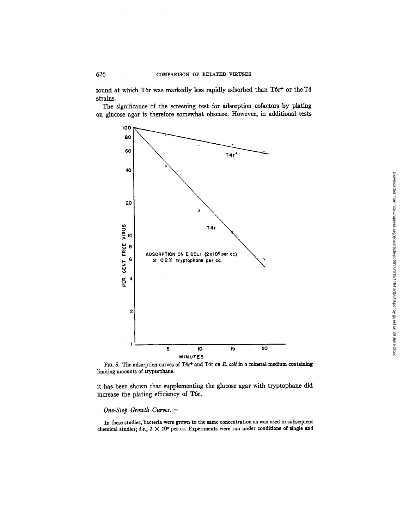found at which T6r was markedly less rapidly adsorbed than  $T6r^+$  or the T4 strains.

The significance of the screening test for adsorption cofactors by plating on glucose agar is therefore somewhat obscure. However, in additional tests



FIG. 5. The adsorption curves of T4r<sup>+</sup> and T4r on *E. coli* in a mineral medium containing limiting amounts of tryptophane.

it has been shown that supplementing the glucose agar with tryptophane did increase the plating efficiency of T6r.

#### *One-Step Growth Curves.--*

In these studies, bacteria were grown to the same concentration as was used in subsequent chemical studies; i.e.,  $2 \times 10^8$  per cc. Experiments were run under conditions of single and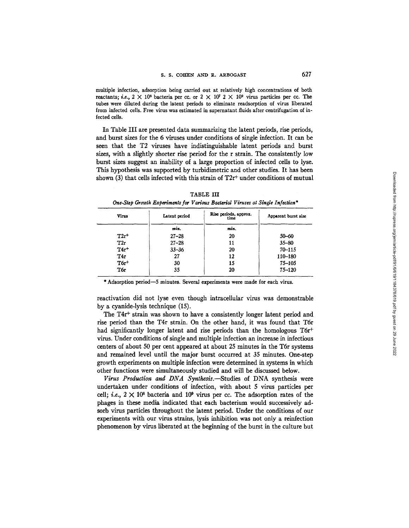multiple infection, adsorption being carried out at relatively high concentrations of both reactants; *i.e.*,  $2 \times 10^8$  bacteria per cc. or  $2 \times 10^7$   $2 \times 10^9$  virus particles per cc. The tubes were diluted during the latent periods to eliminate readsorption of virus liberated from infected cells. Free virus was estimated in supernatant fluids after centrifugation of infected cells.

In Table III are presented data summarizing the latent periods, rise periods, and burst sizes for the 6 viruses under conditions of single infection. It can be seen that the T2 viruses have indistinguishable latent periods and burst sizes, with a slightly shorter rise period for the r strain. The consistently low burst sizes suggest an inability of a large proportion of infected ceils to lyse. This hypothesis was supported by turbidimetric and other studies. It has been shown (3) that cells infected with this strain of  $T2r<sup>+</sup>$  under conditions of mutual

| Vírus              | Latent period | Rise periods, approx.<br>time | Apparent burst size |
|--------------------|---------------|-------------------------------|---------------------|
|                    | min.          | min.                          |                     |
| $T2r$ <sup>+</sup> | $27 - 28$     | 20                            | 50-60               |
| T2r                | $27 - 28$     | 11                            | $35 - 80$           |
| $T4r$ <sup>+</sup> | $33 - 36$     | 20                            | $70 - 115$          |
| T4r                | 27            | 12                            | 110-180             |
| $T6r+$             | 30            | 15                            | $75 - 105$          |
| T6r                | 35            | 20                            | $75 - 120$          |

TABLE III

*One-Step Growth Experiments for Various Bacterial Viruses at Single Infection\** 

\* Adsorption period--5 minutes. Several experiments were made for each **virus.** 

reactivation did not lyse even though intracellular virus was demonstrable by a cyanide-lysis technique (15).

The T4r<sup>+</sup> strain was shown to have a consistently longer latent period and rise period than the T4r strain. On the other hand, it was found that T6r had significantly longer latent and rise periods than the homologous T6r<sup>+</sup> virus. Under conditions of single and multiple infection an increase in infectious centers of about 50 per cent appeared at about 25 minutes in the T6r systems and remained level until the major burst occurred at 35 minutes. One-step growth experiments on multiple infection were determined in systems in which other functions were simultaneously studied and will be discussed below.

*Virus Production and DNA Synthesis.--Studies* of DNA synthesis were undertaken under conditions of infection, with about 5 virus particles per cell; *i.e.*,  $2 \times 10^8$  bacteria and  $10^9$  virus per cc. The adsorption rates of the phages in these media indicated that each bacterium would successively adsorb virus particles throughout the latent period. Under the conditions of our experiments with our virus strains, lysis inhibition was not only a reinfection phenomenon by virus liberated at the beginning of the burst in the culture but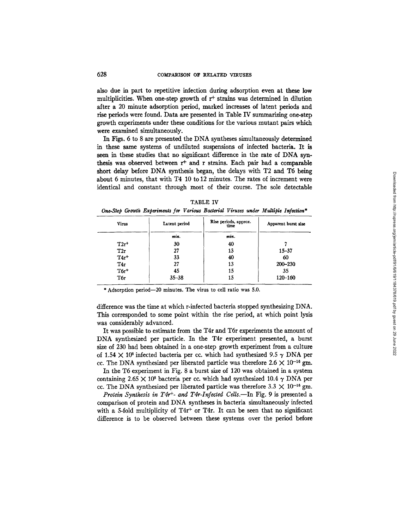also due in part to repetitive infection during adsorption even at these low multiplicities. When one-step growth of  $r^+$  strains was determined in dilution after a 20 minute adsorption period, marked increases of latent periods and rise periods were found. Data are presented in Table IV summarizing one-step growth experiments under these conditions for the various mutant pairs which were examined simultaneously.

In Figs. 6 to 8 are presented the DNA syntheses simultaneously determined in these same systems of undiluted suspensions of infected bacteria. It is seen in these studies that no significant difference in the rate of DNA synthesis was observed between  $r^{+}$  and r strains. Each pair had a comparable short delay before DNA synthesis began, the delays with T2 and T6 being about 6 minutes, that with T4 10 to 12 minutes. The rates of increment were identical and constant through most of their course. The sole detectable

| Virus              | Latent period | Rise periods, approx.<br>time | Apparent burst size |
|--------------------|---------------|-------------------------------|---------------------|
|                    | min.          | min.                          |                     |
| $T2r^+$            | 30            | 40                            |                     |
| T2r                | 27            | 13                            | $15 - 37$           |
| $T4r^+$            | 33            | 40                            | 60                  |
| T4r                | 27            | 13                            | 200-230             |
| $T6r$ <sup>+</sup> | 45            | 15                            | 35                  |
| T6r                | $35 - 38$     | 15                            | 120-160             |

*One-Step Growth Experiments for Various Bacterial Viruses under Multiple Infection\** TABLE IV

\* Adsorption period--20 minutes. The virus to cell ratio was 5.0.

difference was the time at which r-infected bacteria stopped synthesizing DNA. This corresponded to some point within the rise period, at which point lysis was considerably advanced.

It was possible to estimate from the T4r and T6r experiments the amount of DNA synthesized per particle. In the T4r experiment presented, a burst size of 230 had been obtained in a one-step growth experiment from a culture of 1.54  $\times$  10<sup>8</sup> infected bacteria per cc. which had synthesized 9.5  $\gamma$  DNA per cc. The DNA synthesized per liberated particle was therefore  $2.6 \times 10^{-16}$  gm.

In the T6 experiment in Fig. 8 a burst size of 120 was obtained in a system containing 2.65  $\times$  10<sup>8</sup> bacteria per cc. which had synthesized 10.4  $\gamma$  DNA per cc. The DNA synthesized per liberated particle was therefore  $3.3 \times 10^{-16}$  gm.

*Protein Synthesis in T4r<sup>+</sup>- and T4r-Infected Cells.*—In Fig. 9 is presented a comparison of protein and DNA syntheses in bacteria simultaneously infected with a 5-fold multiplicity of  $T4r^+$  or T4r. It can be seen that no significant difference is to be observed between these systems over the period before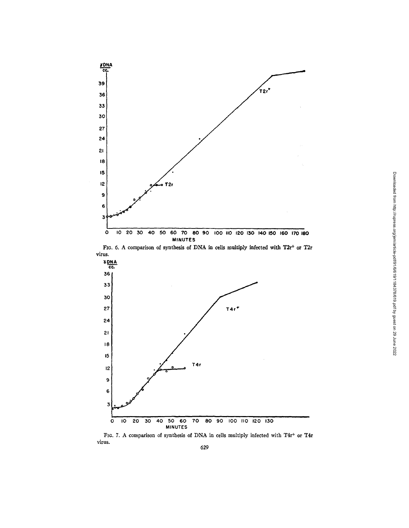





FIG. 7. A comparison of synthesis of DNA in cells multiply infected with  $T4r^{+}$  or  $T4r$ virus.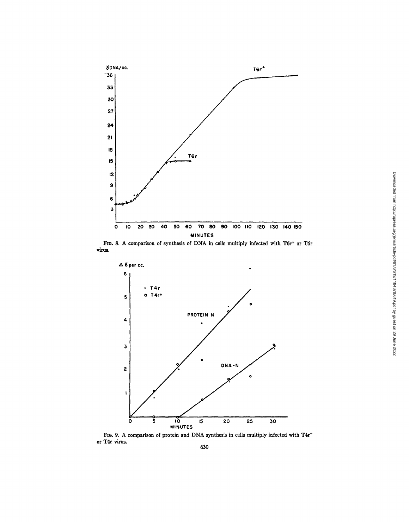

FIG. 8. A comparison of synthesis of DNA in cells multiply infected with T6r<sup>+</sup> or T6r virus.



FIG. 9. A comparison of protein and DNA synthesis in cells multiply infected with  $T4r^{+}$ or T4r virus.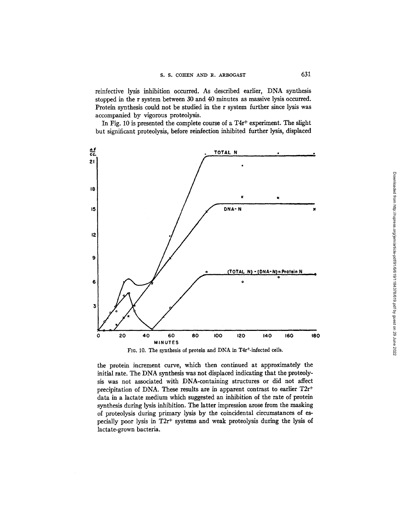reinfective lysis inhibition occurred. As described earlier, DNA synthesis stopped in the r system between 30 and 40 minutes as massive lysis occurred. Protein synthesis could not be studied in the r system further since lysis was accompanied by vigorous proteolysis.

In Fig. 10 is presented the complete course of a  $T4r<sup>+</sup>$  experiment. The slight but significant proteolysis, before reinfection inhibited further lysis, displaced



the protein increment curve, which then continued at approximately the initial rate. The DNA synthesis was not displaced indicating that the proteolysis was not associated with DNA-containing structures or did not affect precipitation of DNA. These results are in apparent contrast to earlier  $T2r^+$ data in a lactate medium which suggested an inhibition of the rate of protein synthesis during lysis inhibition. The latter impression arose from the masking of proteolysis during primary lysis by the coincidental circumstances of especially poor lysis in  $T2r$  systems and weak proteolysis during the lysis of lactate-grown bacteria.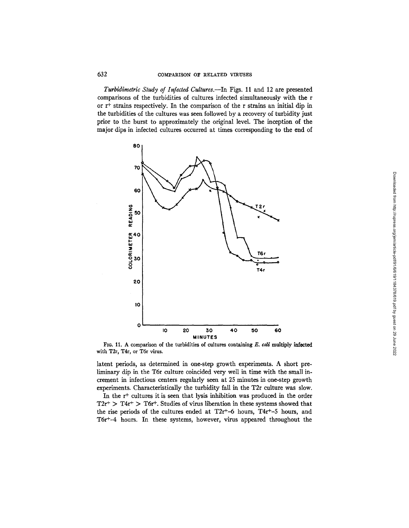*Turbidimetric Study of Infected Cultures.--In* Figs. 11 and 12 are presented comparisons of the turbidities of cultures infected simultaneously with the r or r+ strains respectively. In the comparison of the r strains an initial dip in the turbidities of the cultures was seen followed by a recovery of turbidity just prior to the burst to approximately the original level. The inception of the major dips in infected cultures occurred at times corresponding to the end of



FIO. 11. A comparison of the turbidities of cultures containing *E. toll* multiply infected with T2r, T4r, or T6r virus.

latent periods, as determined in one-step growth experiments. A short preliminary dip in the T6r culture coincided very well in time with the small increment in infectious centers regularly seen at 25 minutes in one-step growth experiments. Characteristically the turbidity fall in the T2r culture was slow.

In the  $r^+$  cultures it is seen that lysis inhibition was produced in the order  $T2r^{+}$  > T4r<sup>+</sup> > T6r<sup>+</sup>. Studies of virus liberation in these systems showed that the rise periods of the cultures ended at  $T2r^{+}-6$  hours,  $T4r^{+}-5$  hours, and T6r+-4 hours. In these systems, however, virus appeared throughout the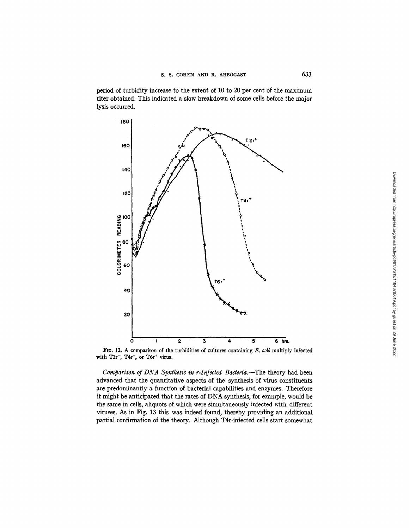period of turbidity increase to the extent of 10 to 20 per cent of the maximum fiter obtained. This indicated a slow breakdown of some cells before the major lysis occurred.



Fro. 12. A comparison of the turbidities of cultures containing *E. coli* multiply infected with  $T2r^{+}$ ,  $T4r^{+}$ , or  $T6r^{+}$  virus.

*Comparison of DNA Synthesis in r-Infected Bacteria.*—The theory had been advanced that the quantitative aspects of the synthesis of virus constituents are predominantly a function of bacterial capabilities and enzymes. Therefore it might be anticipated that the rates of DNA synthesis, for example, would be the same in ceils, allquots of which were simultaneously infected with different viruses. As in Fig. 13 this was indeed found, thereby providing an additional partial confirmation of the theory. Although T4r-infected cells start somewhat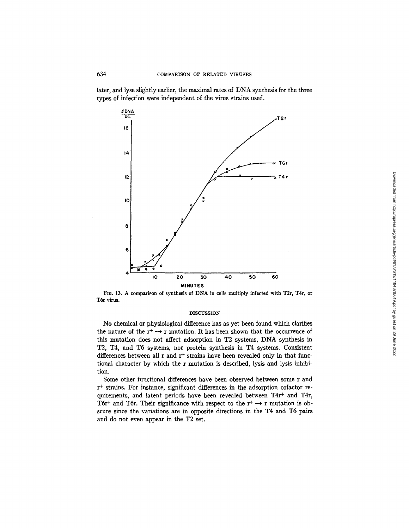later, and lyse slightly earlier, the maximal rates of DNA synthesis for the three types of infection were independent of the virus strains used.



Fro. 13. A comparison of synthesis of DNA in cells multiply infected with T2r, T4r, or T6r virus.

#### DISCUSSION

No chemical or physiological difference has as yet been found which clarifies the nature of the  $r^+ \rightarrow r$  mutation. It has been shown that the occurrence of this mutation does not affect adsorption in T2 systems, DNA synthesis in T2, T4, and T6 systems, nor protein synthesis in T4 systems. Consistent differences between all  $r$  and  $r$ <sup>+</sup> strains have been revealed only in that functional character by which the r mutation is described, lysis and lysis inhibition.

Some other functional differences have been observed between some r and  $r^{+}$  strains. For instance, significant differences in the adsorption cofactor requirements, and latent periods have been revealed between T4r+ and T4r, T6r<sup>+</sup> and T6r. Their significance with respect to the  $r^+ \rightarrow r$  mutation is obscure since the variations are in opposite directions in the T4 and T6 pairs and do not even appear in the T2 set.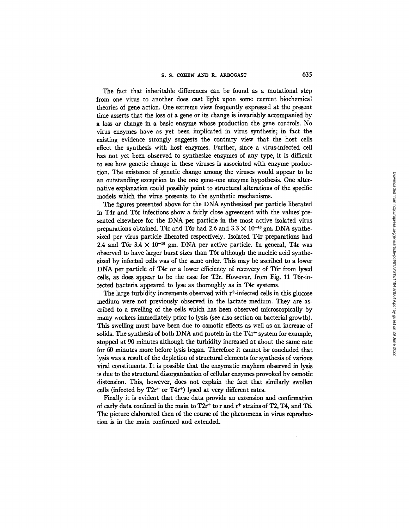The fact that inheritable differences can be found as a mutational step from one virus to another does cast light upon some current biochemical theories of gene action. One extreme view frequently expressed at the present time asserts that the loss of a gene or its change is invariably accompanied by a loss or change in a basic enzyme whose production the gene controls. No virus enzymes have as yet been implicated in virus synthesis; in fact the existing evidence strongly suggests the contrary view that the host cells effect the synthesis with host enzymes. Further, since a virus-infected cell has not yet been observed to synthesize enzymes of any type, it is difficult to see how genetic change in these viruses is associated with enzyme production. The existence of genetic change among the viruses would appear to be an outstanding exception to the one gene-one enzyme hypothesis. One alternative explanation could possibly point to structural alterations of the specific models which the virus presents to the synthetic mechanisms.

The figures presented above for the DNA synthesized per particle liberated in T4r and T6r infections show a fairly close agreement with the values presented elsewhere for the DNA per particle in the most active isolated virus preparations obtained. T4r and T6r had 2.6 and  $3.3 \times 10^{-16}$  gm. DNA synthesized per virus particle liberated respectively. Isolated T4r preparations had 2.4 and T6r  $3.4 \times 10^{-16}$  gm. DNA per active particle. In general, T4r was observed to have larger burst sizes than T6r although the nucleic acid synthesized by infected cells was of the same order. This may be ascribed to a lower DNA per particle of T4r or a lower efficiency of recovery of T6r from lysed cells, as does appear to be the case for T2r. However, from Fig. 11 T6r-infected bacteria appeared to lyse as thoroughly as in T4r systems.

The large turbidity increments observed with  $r^+$ -infected cells in this glucose medium were not previously observed in the lactate medium. They are ascribed to a swelling of the cells which has been observed microscopically by many workers immediately prior to lysis (see also section on bacterial growth). This swelling must have been due to osmotic effects as well as an increase of solids. The synthesis of both DNA and protein in the  $T4r^{+}$  system for example, stopped at 90 minutes although the turbidity increased at about the same rate for 60 minutes more before lysis began. Therefore it cannot be concluded that lysis was a result of the depletion of structural elements for synthesis of various viral constituents. It is possible that the enzymatic mayhem observed in lysis is due to the structural disorganization of cellular enzymes provoked by osmotic distension. This, however, does not explain the fact that similarly swollen cells (infected by  $T2r^+$  or  $T4r^+$ ) lysed at very different rates.

Finally it is evident that these data provide an extension and confirmation of early data confined in the main to  $T2r<sup>+</sup>$  to r and  $r<sup>+</sup>$  strains of T2, T4, and T6. The picture elaborated then of the course of the phenomena in virus reproduction is in the main confirmed and extended.